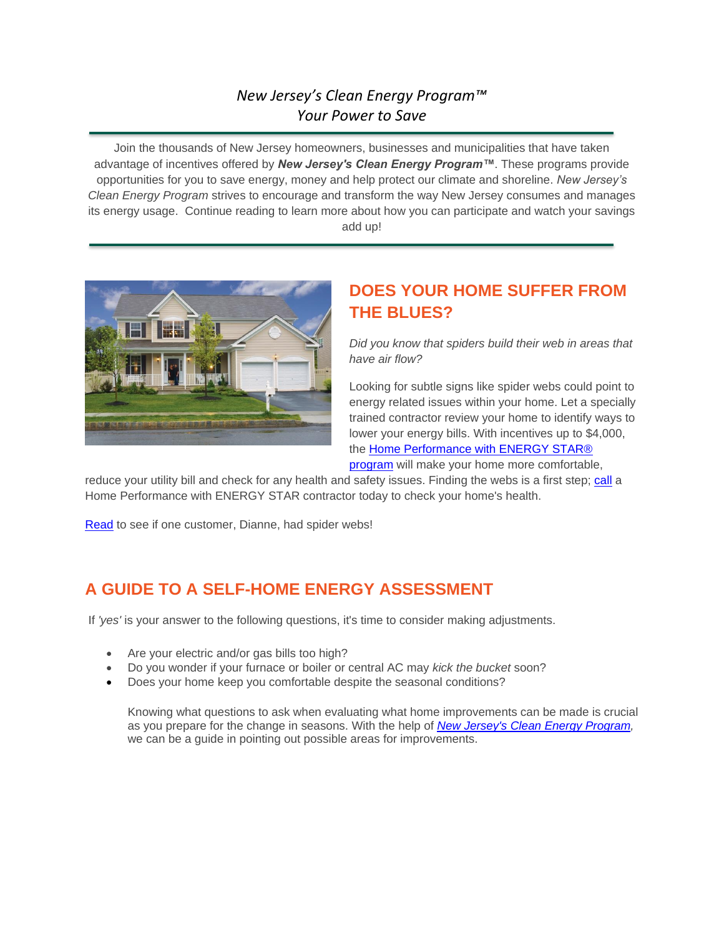### *New Jersey's Clean Energy Program™ Your Power to Save*

Join the thousands of New Jersey homeowners, businesses and municipalities that have taken advantage of incentives offered by *New Jersey's Clean Energy Program™*. These programs provide opportunities for you to save energy, money and help protect our climate and shoreline. *New Jersey's Clean Energy Program* strives to encourage and transform the way New Jersey consumes and manages its energy usage. Continue reading to learn more about how you can participate and watch your savings add up!



# **DOES YOUR HOME SUFFER FROM THE BLUES?**

*Did you know that spiders build their web in areas that have air flow?*

Looking for subtle signs like spider webs could point to energy related issues within your home. Let a specially trained contractor review your home to identify ways to lower your energy bills. With incentives up to \$4,000, the Home Performance with ENERGY STAR® [program](http://r20.rs6.net/tn.jsp?t=wavdwa9ab.0.0.gpqktncab.0&id=preview&r=3&p=http%3A%2F%2Fwww.njcleanenergy.com%2Fresidential%2Fprograms%2Fhome-performance-energy-star%2Fhome-performance-energy-star-r) will make your home more comfortable,

reduce your utility bill and check for any health and safety issues. Finding the webs is a first step; [call](http://r20.rs6.net/tn.jsp?t=wavdwa9ab.0.0.gpqktncab.0&id=preview&r=3&p=http%3A%2F%2Fwww.njcleanenergy.com%2Ftradeally%2Fdisclaimer%3Fpath%3D%2Fresidential%2Ftools-and-resources%2Ftradeally%2Fapproved_vendorsearch%2F%3Fid%3D57%26start%3D1) a Home Performance with ENERGY STAR contractor today to check your home's health.

[Read](http://r20.rs6.net/tn.jsp?t=wavdwa9ab.0.0.gpqktncab.0&id=preview&r=3&p=http%3A%2F%2Fwww.njcleanenergy.com%2Fcase-study-dianne-l) to see if one customer, Dianne, had spider webs!

## **A GUIDE TO A SELF-HOME ENERGY ASSESSMENT**

If *'yes'* is your answer to the following questions, it's time to consider making adjustments.

- Are your electric and/or gas bills too high?
- Do you wonder if your furnace or boiler or central AC may *kick the bucket* soon?
- Does your home keep you comfortable despite the seasonal conditions?

Knowing what questions to ask when evaluating what home improvements can be made is crucial as you prepare for the change in seasons. With the help of *[New Jersey's Clean Energy Program,](http://r20.rs6.net/tn.jsp?t=wavdwa9ab.0.0.gpqktncab.0&id=preview&r=3&p=http%3A%2F%2Fwww.njcleanenergy.com%2Fresidential%2Fhome%2Fhome)* we can be a guide in pointing out possible areas for improvements.